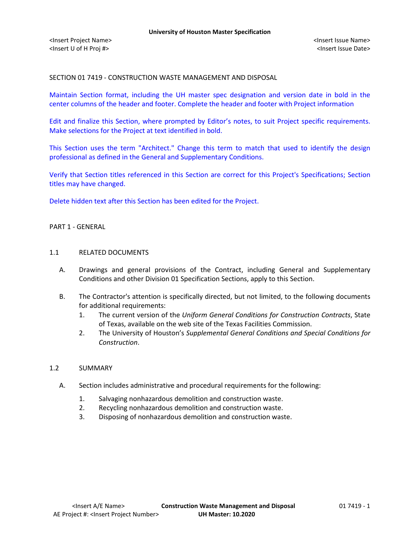SECTION 01 7419 - CONSTRUCTION WASTE MANAGEMENT AND DISPOSAL

Maintain Section format, including the UH master spec designation and version date in bold in the center columns of the header and footer. Complete the header and footer with Project information

Edit and finalize this Section, where prompted by Editor's notes, to suit Project specific requirements. Make selections for the Project at text identified in bold.

This Section uses the term "Architect." Change this term to match that used to identify the design professional as defined in the General and Supplementary Conditions.

Verify that Section titles referenced in this Section are correct for this Project's Specifications; Section titles may have changed.

Delete hidden text after this Section has been edited for the Project.

# PART 1 - GENERAL

# 1.1 RELATED DOCUMENTS

- A. Drawings and general provisions of the Contract, including General and Supplementary Conditions and other Division 01 Specification Sections, apply to this Section.
- B. The Contractor's attention is specifically directed, but not limited, to the following documents for additional requirements:
	- 1. The current version of the *Uniform General Conditions for Construction Contracts*, State of Texas, available on the web site of the Texas Facilities Commission.
	- 2. The University of Houston's *Supplemental General Conditions and Special Conditions for Construction*.

## 1.2 SUMMARY

- A. Section includes administrative and procedural requirements for the following:
	- 1. Salvaging nonhazardous demolition and construction waste.
	- 2. Recycling nonhazardous demolition and construction waste.
	- 3. Disposing of nonhazardous demolition and construction waste.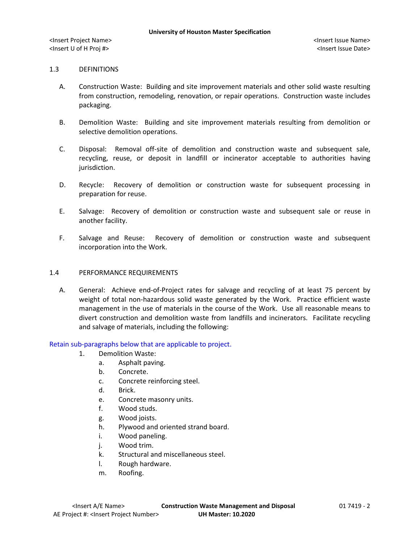## 1.3 DEFINITIONS

- A. Construction Waste: Building and site improvement materials and other solid waste resulting from construction, remodeling, renovation, or repair operations. Construction waste includes packaging.
- B. Demolition Waste: Building and site improvement materials resulting from demolition or selective demolition operations.
- C. Disposal: Removal off-site of demolition and construction waste and subsequent sale, recycling, reuse, or deposit in landfill or incinerator acceptable to authorities having jurisdiction.
- D. Recycle: Recovery of demolition or construction waste for subsequent processing in preparation for reuse.
- E. Salvage: Recovery of demolition or construction waste and subsequent sale or reuse in another facility.
- F. Salvage and Reuse: Recovery of demolition or construction waste and subsequent incorporation into the Work.

## 1.4 PERFORMANCE REQUIREMENTS

A. General: Achieve end-of-Project rates for salvage and recycling of at least 75 percent by weight of total non-hazardous solid waste generated by the Work. Practice efficient waste management in the use of materials in the course of the Work. Use all reasonable means to divert construction and demolition waste from landfills and incinerators. Facilitate recycling and salvage of materials, including the following:

## Retain sub-paragraphs below that are applicable to project.

- 1. Demolition Waste:
	- a. Asphalt paving.
	- b. Concrete.
	- c. Concrete reinforcing steel.
	- d. Brick.
	- e. Concrete masonry units.
	- f. Wood studs.
	- g. Wood joists.
	- h. Plywood and oriented strand board.
	- i. Wood paneling.
	- j. Wood trim.
	- k. Structural and miscellaneous steel.
	- l. Rough hardware.
	- m. Roofing.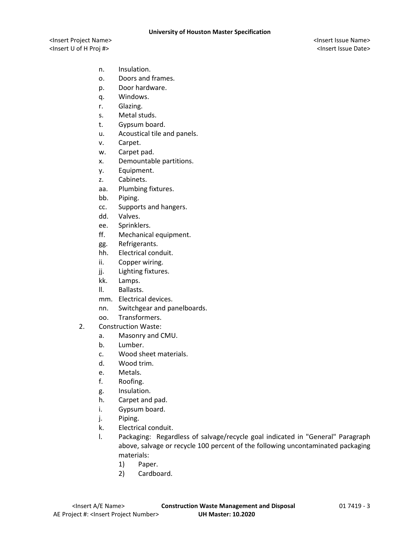- n. Insulation.
- o. Doors and frames.
- p. Door hardware.
- q. Windows.
- r. Glazing.
- s. Metal studs.
- t. Gypsum board.
- u. Acoustical tile and panels.
- v. Carpet.
- w. Carpet pad.
- x. Demountable partitions.
- y. Equipment.
- z. Cabinets.
- aa. Plumbing fixtures.
- bb. Piping.
- cc. Supports and hangers.
- dd. Valves.
- ee. Sprinklers.
- ff. Mechanical equipment.
- gg. Refrigerants.
- hh. Electrical conduit.
- ii. Copper wiring.
- jj. Lighting fixtures.
- kk. Lamps.
- ll. Ballasts.
- mm. Electrical devices.
- nn. Switchgear and panelboards.
- oo. Transformers.
- 2. Construction Waste:
	- a. Masonry and CMU.
	- b. Lumber.
	- c. Wood sheet materials.
	- d. Wood trim.
	- e. Metals.
	- f. Roofing.
	- g. Insulation.
	- h. Carpet and pad.
	- i. Gypsum board.
	- j. Piping.
	- k. Electrical conduit.
	- l. Packaging: Regardless of salvage/recycle goal indicated in "General" Paragraph above, salvage or recycle 100 percent of the following uncontaminated packaging materials:
		- 1) Paper.
		- 2) Cardboard.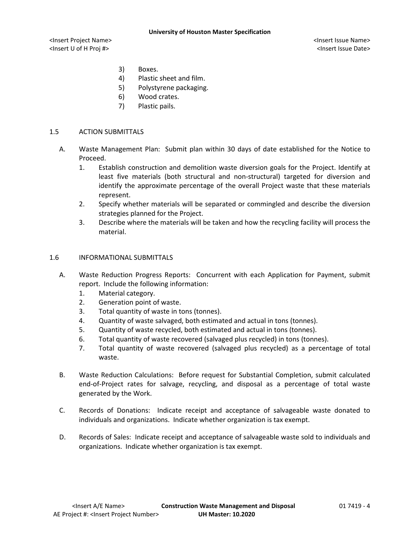- 3) Boxes.
- 4) Plastic sheet and film.
- 5) Polystyrene packaging.
- 6) Wood crates.
- 7) Plastic pails.

# 1.5 ACTION SUBMITTALS

- A. Waste Management Plan: Submit plan within 30 days of date established for the Notice to Proceed.
	- 1. Establish construction and demolition waste diversion goals for the Project. Identify at least five materials (both structural and non-structural) targeted for diversion and identify the approximate percentage of the overall Project waste that these materials represent.
	- 2. Specify whether materials will be separated or commingled and describe the diversion strategies planned for the Project.
	- 3. Describe where the materials will be taken and how the recycling facility will process the material.

# 1.6 INFORMATIONAL SUBMITTALS

- A. Waste Reduction Progress Reports: Concurrent with each Application for Payment, submit report. Include the following information:
	- 1. Material category.
	- 2. Generation point of waste.
	- 3. Total quantity of waste in tons (tonnes).
	- 4. Quantity of waste salvaged, both estimated and actual in tons (tonnes).
	- 5. Quantity of waste recycled, both estimated and actual in tons (tonnes).
	- 6. Total quantity of waste recovered (salvaged plus recycled) in tons (tonnes).
	- 7. Total quantity of waste recovered (salvaged plus recycled) as a percentage of total waste.
- B. Waste Reduction Calculations: Before request for Substantial Completion, submit calculated end-of-Project rates for salvage, recycling, and disposal as a percentage of total waste generated by the Work.
- C. Records of Donations: Indicate receipt and acceptance of salvageable waste donated to individuals and organizations. Indicate whether organization is tax exempt.
- D. Records of Sales: Indicate receipt and acceptance of salvageable waste sold to individuals and organizations. Indicate whether organization is tax exempt.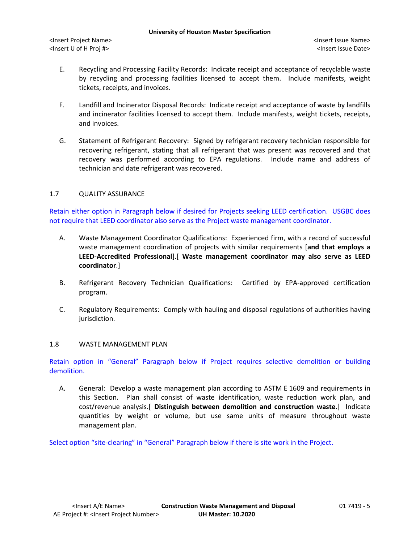- E. Recycling and Processing Facility Records: Indicate receipt and acceptance of recyclable waste by recycling and processing facilities licensed to accept them. Include manifests, weight tickets, receipts, and invoices.
- F. Landfill and Incinerator Disposal Records: Indicate receipt and acceptance of waste by landfills and incinerator facilities licensed to accept them. Include manifests, weight tickets, receipts, and invoices.
- G. Statement of Refrigerant Recovery: Signed by refrigerant recovery technician responsible for recovering refrigerant, stating that all refrigerant that was present was recovered and that recovery was performed according to EPA regulations. Include name and address of technician and date refrigerant was recovered.

# 1.7 QUALITY ASSURANCE

Retain either option in Paragraph below if desired for Projects seeking LEED certification. USGBC does not require that LEED coordinator also serve as the Project waste management coordinator.

- A. Waste Management Coordinator Qualifications: Experienced firm, with a record of successful waste management coordination of projects with similar requirements [**and that employs a LEED-Accredited Professional**].[ **Waste management coordinator may also serve as LEED coordinator**.]
- B. Refrigerant Recovery Technician Qualifications: Certified by EPA-approved certification program.
- C. Regulatory Requirements: Comply with hauling and disposal regulations of authorities having jurisdiction.

## 1.8 WASTE MANAGEMENT PLAN

Retain option in "General" Paragraph below if Project requires selective demolition or building demolition.

A. General: Develop a waste management plan according to ASTM E 1609 and requirements in this Section. Plan shall consist of waste identification, waste reduction work plan, and cost/revenue analysis.[ **Distinguish between demolition and construction waste.**] Indicate quantities by weight or volume, but use same units of measure throughout waste management plan.

Select option "site-clearing" in "General" Paragraph below if there is site work in the Project.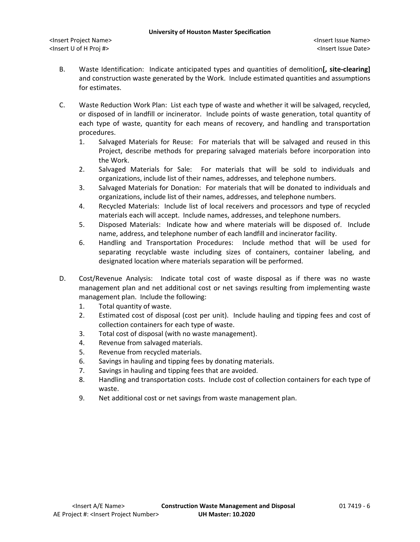- B. Waste Identification: Indicate anticipated types and quantities of demolition**[, site-clearing]** and construction waste generated by the Work. Include estimated quantities and assumptions for estimates.
- C. Waste Reduction Work Plan: List each type of waste and whether it will be salvaged, recycled, or disposed of in landfill or incinerator. Include points of waste generation, total quantity of each type of waste, quantity for each means of recovery, and handling and transportation procedures.
	- 1. Salvaged Materials for Reuse: For materials that will be salvaged and reused in this Project, describe methods for preparing salvaged materials before incorporation into the Work.
	- 2. Salvaged Materials for Sale: For materials that will be sold to individuals and organizations, include list of their names, addresses, and telephone numbers.
	- 3. Salvaged Materials for Donation: For materials that will be donated to individuals and organizations, include list of their names, addresses, and telephone numbers.
	- 4. Recycled Materials: Include list of local receivers and processors and type of recycled materials each will accept. Include names, addresses, and telephone numbers.
	- 5. Disposed Materials: Indicate how and where materials will be disposed of. Include name, address, and telephone number of each landfill and incinerator facility.
	- 6. Handling and Transportation Procedures: Include method that will be used for separating recyclable waste including sizes of containers, container labeling, and designated location where materials separation will be performed.
- D. Cost/Revenue Analysis: Indicate total cost of waste disposal as if there was no waste management plan and net additional cost or net savings resulting from implementing waste management plan. Include the following:
	- 1. Total quantity of waste.
	- 2. Estimated cost of disposal (cost per unit). Include hauling and tipping fees and cost of collection containers for each type of waste.
	- 3. Total cost of disposal (with no waste management).
	- 4. Revenue from salvaged materials.
	- 5. Revenue from recycled materials.
	- 6. Savings in hauling and tipping fees by donating materials.
	- 7. Savings in hauling and tipping fees that are avoided.
	- 8. Handling and transportation costs. Include cost of collection containers for each type of waste.
	- 9. Net additional cost or net savings from waste management plan.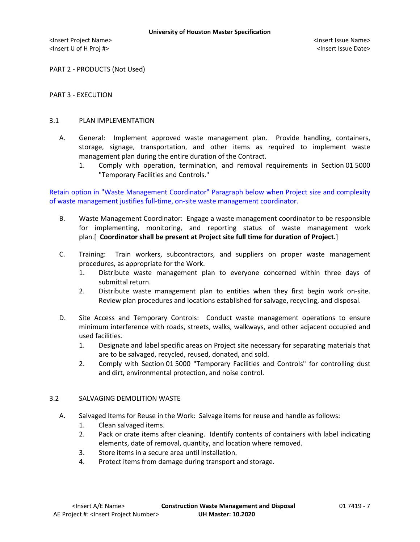PART 2 - PRODUCTS (Not Used)

## PART 3 - EXECUTION

# 3.1 PLAN IMPLEMENTATION

- A. General: Implement approved waste management plan. Provide handling, containers, storage, signage, transportation, and other items as required to implement waste management plan during the entire duration of the Contract.
	- 1. Comply with operation, termination, and removal requirements in Section 01 5000 "Temporary Facilities and Controls."

Retain option in "Waste Management Coordinator" Paragraph below when Project size and complexity of waste management justifies full-time, on-site waste management coordinator.

- B. Waste Management Coordinator: Engage a waste management coordinator to be responsible for implementing, monitoring, and reporting status of waste management work plan.[ **Coordinator shall be present at Project site full time for duration of Project.**]
- C. Training: Train workers, subcontractors, and suppliers on proper waste management procedures, as appropriate for the Work.
	- 1. Distribute waste management plan to everyone concerned within three days of submittal return.
	- 2. Distribute waste management plan to entities when they first begin work on-site. Review plan procedures and locations established for salvage, recycling, and disposal.
- D. Site Access and Temporary Controls: Conduct waste management operations to ensure minimum interference with roads, streets, walks, walkways, and other adjacent occupied and used facilities.
	- 1. Designate and label specific areas on Project site necessary for separating materials that are to be salvaged, recycled, reused, donated, and sold.
	- 2. Comply with Section 01 5000 "Temporary Facilities and Controls" for controlling dust and dirt, environmental protection, and noise control.

## 3.2 SALVAGING DEMOLITION WASTE

- A. Salvaged Items for Reuse in the Work: Salvage items for reuse and handle as follows:
	- 1. Clean salvaged items.
	- 2. Pack or crate items after cleaning. Identify contents of containers with label indicating elements, date of removal, quantity, and location where removed.
	- 3. Store items in a secure area until installation.
	- 4. Protect items from damage during transport and storage.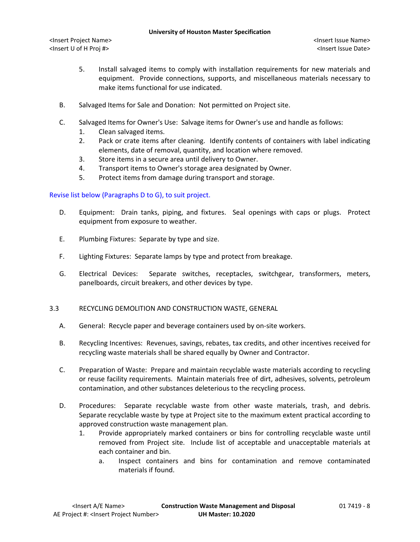- 5. Install salvaged items to comply with installation requirements for new materials and equipment. Provide connections, supports, and miscellaneous materials necessary to make items functional for use indicated.
- B. Salvaged Items for Sale and Donation: Not permitted on Project site.
- C. Salvaged Items for Owner's Use: Salvage items for Owner's use and handle as follows:
	- 1. Clean salvaged items.
	- 2. Pack or crate items after cleaning. Identify contents of containers with label indicating elements, date of removal, quantity, and location where removed.
	- 3. Store items in a secure area until delivery to Owner.
	- 4. Transport items to Owner's storage area designated by Owner.
	- 5. Protect items from damage during transport and storage.

# Revise list below (Paragraphs D to G), to suit project.

- D. Equipment: Drain tanks, piping, and fixtures. Seal openings with caps or plugs. Protect equipment from exposure to weather.
- E. Plumbing Fixtures: Separate by type and size.
- F. Lighting Fixtures: Separate lamps by type and protect from breakage.
- G. Electrical Devices: Separate switches, receptacles, switchgear, transformers, meters, panelboards, circuit breakers, and other devices by type.

# 3.3 RECYCLING DEMOLITION AND CONSTRUCTION WASTE, GENERAL

- A. General: Recycle paper and beverage containers used by on-site workers.
- B. Recycling Incentives: Revenues, savings, rebates, tax credits, and other incentives received for recycling waste materials shall be shared equally by Owner and Contractor.
- C. Preparation of Waste: Prepare and maintain recyclable waste materials according to recycling or reuse facility requirements. Maintain materials free of dirt, adhesives, solvents, petroleum contamination, and other substances deleterious to the recycling process.
- D. Procedures: Separate recyclable waste from other waste materials, trash, and debris. Separate recyclable waste by type at Project site to the maximum extent practical according to approved construction waste management plan.
	- 1. Provide appropriately marked containers or bins for controlling recyclable waste until removed from Project site. Include list of acceptable and unacceptable materials at each container and bin.
		- a. Inspect containers and bins for contamination and remove contaminated materials if found.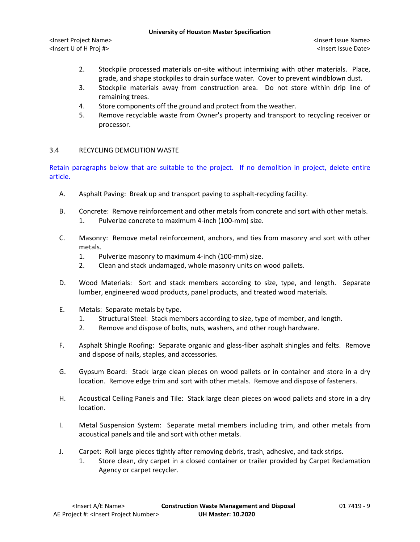#### **University of Houston Master Specification**

- 2. Stockpile processed materials on-site without intermixing with other materials. Place, grade, and shape stockpiles to drain surface water. Cover to prevent windblown dust.
- 3. Stockpile materials away from construction area. Do not store within drip line of remaining trees.
- 4. Store components off the ground and protect from the weather.
- 5. Remove recyclable waste from Owner's property and transport to recycling receiver or processor.

# 3.4 RECYCLING DEMOLITION WASTE

Retain paragraphs below that are suitable to the project. If no demolition in project, delete entire article.

- A. Asphalt Paving: Break up and transport paving to asphalt-recycling facility.
- B. Concrete: Remove reinforcement and other metals from concrete and sort with other metals. 1. Pulverize concrete to maximum 4-inch (100-mm) size.
- C. Masonry: Remove metal reinforcement, anchors, and ties from masonry and sort with other metals.
	- 1. Pulverize masonry to maximum 4-inch (100-mm) size.
	- 2. Clean and stack undamaged, whole masonry units on wood pallets.
- D. Wood Materials: Sort and stack members according to size, type, and length. Separate lumber, engineered wood products, panel products, and treated wood materials.
- E. Metals: Separate metals by type.
	- 1. Structural Steel: Stack members according to size, type of member, and length.
	- 2. Remove and dispose of bolts, nuts, washers, and other rough hardware.
- F. Asphalt Shingle Roofing: Separate organic and glass-fiber asphalt shingles and felts. Remove and dispose of nails, staples, and accessories.
- G. Gypsum Board: Stack large clean pieces on wood pallets or in container and store in a dry location. Remove edge trim and sort with other metals. Remove and dispose of fasteners.
- H. Acoustical Ceiling Panels and Tile: Stack large clean pieces on wood pallets and store in a dry location.
- I. Metal Suspension System: Separate metal members including trim, and other metals from acoustical panels and tile and sort with other metals.
- J. Carpet: Roll large pieces tightly after removing debris, trash, adhesive, and tack strips.
	- 1. Store clean, dry carpet in a closed container or trailer provided by Carpet Reclamation Agency or carpet recycler.